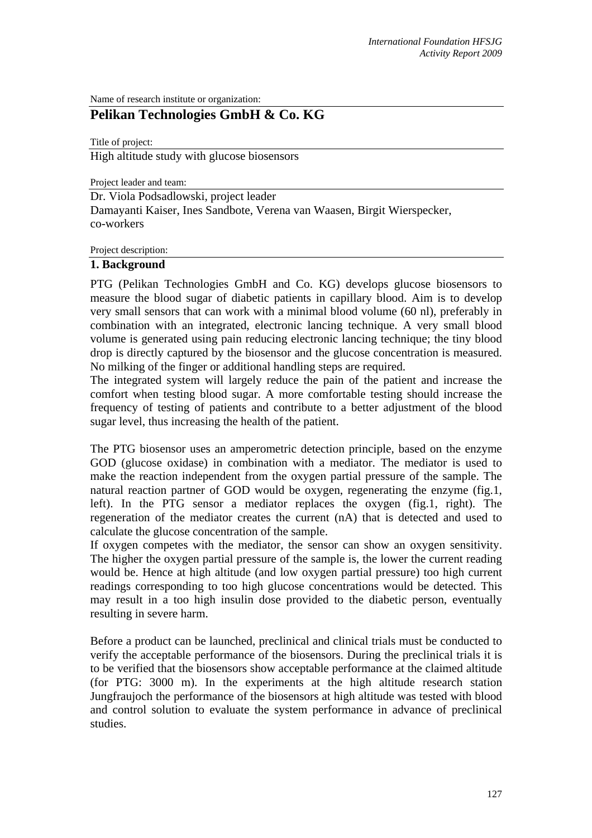Name of research institute or organization:

# **Pelikan Technologies GmbH & Co. KG**

Title of project: High altitude study with glucose biosensors

Project leader and team:

Dr. Viola Podsadlowski, project leader Damayanti Kaiser, Ines Sandbote, Verena van Waasen, Birgit Wierspecker, co-workers

Project description:

#### **1. Background**

PTG (Pelikan Technologies GmbH and Co. KG) develops glucose biosensors to measure the blood sugar of diabetic patients in capillary blood. Aim is to develop very small sensors that can work with a minimal blood volume (60 nl), preferably in combination with an integrated, electronic lancing technique. A very small blood volume is generated using pain reducing electronic lancing technique; the tiny blood drop is directly captured by the biosensor and the glucose concentration is measured. No milking of the finger or additional handling steps are required.

The integrated system will largely reduce the pain of the patient and increase the comfort when testing blood sugar. A more comfortable testing should increase the frequency of testing of patients and contribute to a better adjustment of the blood sugar level, thus increasing the health of the patient.

The PTG biosensor uses an amperometric detection principle, based on the enzyme GOD (glucose oxidase) in combination with a mediator. The mediator is used to make the reaction independent from the oxygen partial pressure of the sample. The natural reaction partner of GOD would be oxygen, regenerating the enzyme (fig.1, left). In the PTG sensor a mediator replaces the oxygen (fig.1, right). The regeneration of the mediator creates the current (nA) that is detected and used to calculate the glucose concentration of the sample.

If oxygen competes with the mediator, the sensor can show an oxygen sensitivity. The higher the oxygen partial pressure of the sample is, the lower the current reading would be. Hence at high altitude (and low oxygen partial pressure) too high current readings corresponding to too high glucose concentrations would be detected. This may result in a too high insulin dose provided to the diabetic person, eventually resulting in severe harm.

Before a product can be launched, preclinical and clinical trials must be conducted to verify the acceptable performance of the biosensors. During the preclinical trials it is to be verified that the biosensors show acceptable performance at the claimed altitude (for PTG: 3000 m). In the experiments at the high altitude research station Jungfraujoch the performance of the biosensors at high altitude was tested with blood and control solution to evaluate the system performance in advance of preclinical studies.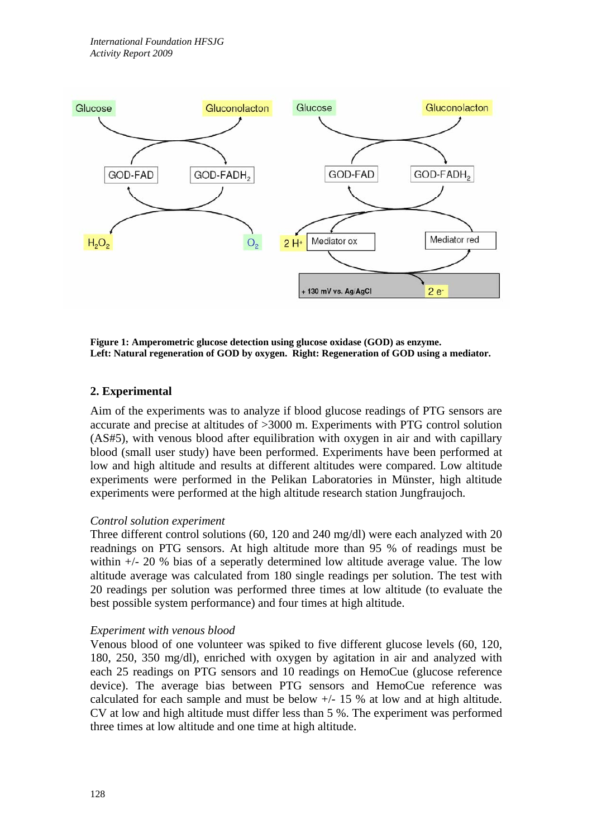

**Figure 1: Amperometric glucose detection using glucose oxidase (GOD) as enzyme. Left: Natural regeneration of GOD by oxygen. Right: Regeneration of GOD using a mediator.** 

### **2. Experimental**

Aim of the experiments was to analyze if blood glucose readings of PTG sensors are accurate and precise at altitudes of >3000 m. Experiments with PTG control solution (AS#5), with venous blood after equilibration with oxygen in air and with capillary blood (small user study) have been performed. Experiments have been performed at low and high altitude and results at different altitudes were compared. Low altitude experiments were performed in the Pelikan Laboratories in Münster, high altitude experiments were performed at the high altitude research station Jungfraujoch.

#### *Control solution experiment*

Three different control solutions (60, 120 and 240 mg/dl) were each analyzed with 20 readnings on PTG sensors. At high altitude more than 95 % of readings must be within +/- 20 % bias of a seperatly determined low altitude average value. The low altitude average was calculated from 180 single readings per solution. The test with 20 readings per solution was performed three times at low altitude (to evaluate the best possible system performance) and four times at high altitude.

#### *Experiment with venous blood*

Venous blood of one volunteer was spiked to five different glucose levels (60, 120, 180, 250, 350 mg/dl), enriched with oxygen by agitation in air and analyzed with each 25 readings on PTG sensors and 10 readings on HemoCue (glucose reference device). The average bias between PTG sensors and HemoCue reference was calculated for each sample and must be below +/- 15 % at low and at high altitude. CV at low and high altitude must differ less than 5 %. The experiment was performed three times at low altitude and one time at high altitude.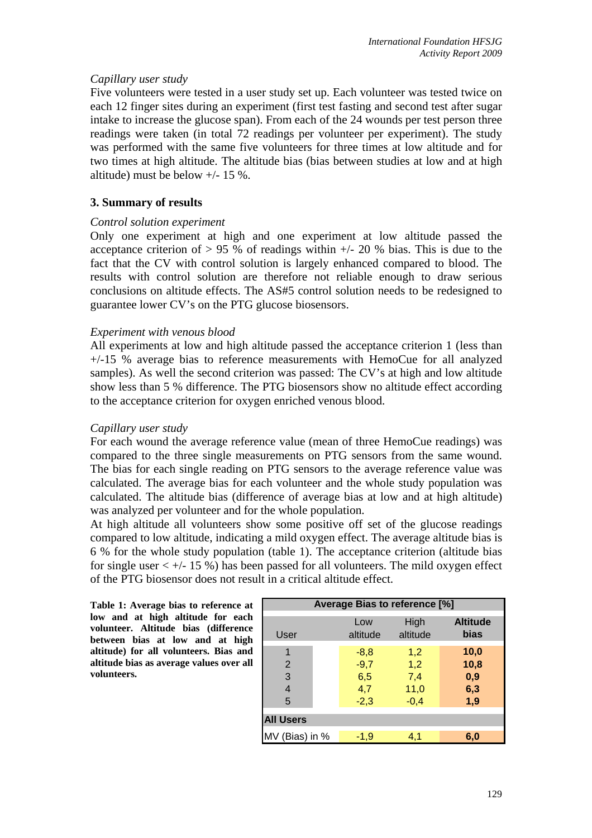### *Capillary user study*

Five volunteers were tested in a user study set up. Each volunteer was tested twice on each 12 finger sites during an experiment (first test fasting and second test after sugar intake to increase the glucose span). From each of the 24 wounds per test person three readings were taken (in total 72 readings per volunteer per experiment). The study was performed with the same five volunteers for three times at low altitude and for two times at high altitude. The altitude bias (bias between studies at low and at high altitude) must be below +/- 15 %.

## **3. Summary of results**

#### *Control solution experiment*

Only one experiment at high and one experiment at low altitude passed the acceptance criterion of  $> 95$  % of readings within  $+/- 20$  % bias. This is due to the fact that the CV with control solution is largely enhanced compared to blood. The results with control solution are therefore not reliable enough to draw serious conclusions on altitude effects. The AS#5 control solution needs to be redesigned to guarantee lower CV's on the PTG glucose biosensors.

### *Experiment with venous blood*

All experiments at low and high altitude passed the acceptance criterion 1 (less than +/-15 % average bias to reference measurements with HemoCue for all analyzed samples). As well the second criterion was passed: The CV's at high and low altitude show less than 5 % difference. The PTG biosensors show no altitude effect according to the acceptance criterion for oxygen enriched venous blood.

#### *Capillary user study*

For each wound the average reference value (mean of three HemoCue readings) was compared to the three single measurements on PTG sensors from the same wound. The bias for each single reading on PTG sensors to the average reference value was calculated. The average bias for each volunteer and the whole study population was calculated. The altitude bias (difference of average bias at low and at high altitude) was analyzed per volunteer and for the whole population.

At high altitude all volunteers show some positive off set of the glucose readings compared to low altitude, indicating a mild oxygen effect. The average altitude bias is 6 % for the whole study population (table 1). The acceptance criterion (altitude bias for single user  $\lt +/2$  15 %) has been passed for all volunteers. The mild oxygen effect of the PTG biosensor does not result in a critical altitude effect.

**Table 1: Average bias to reference at low and at high altitude for each volunteer. Altitude bias (difference between bias at low and at high altitude) for all volunteers. Bias and altitude bias as average values over all volunteers.** 

| Average Bias to reference [%] |                 |                  |                         |
|-------------------------------|-----------------|------------------|-------------------------|
| User                          | Low<br>altitude | High<br>altitude | <b>Altitude</b><br>bias |
| 1                             | $-8,8$          | 1,2              | 10,0                    |
| 2                             | $-9,7$          | 1,2              | 10,8                    |
| 3                             | 6,5             | 7,4              | 0,9                     |
| $\overline{4}$                | 4,7             | 11,0             | 6,3                     |
| 5                             | $-2,3$          | $-0,4$           | 1,9                     |
| <b>All Users</b>              |                 |                  |                         |
| MV (Bias) in %                | $-1,9$          | 4,1              | 6.0                     |